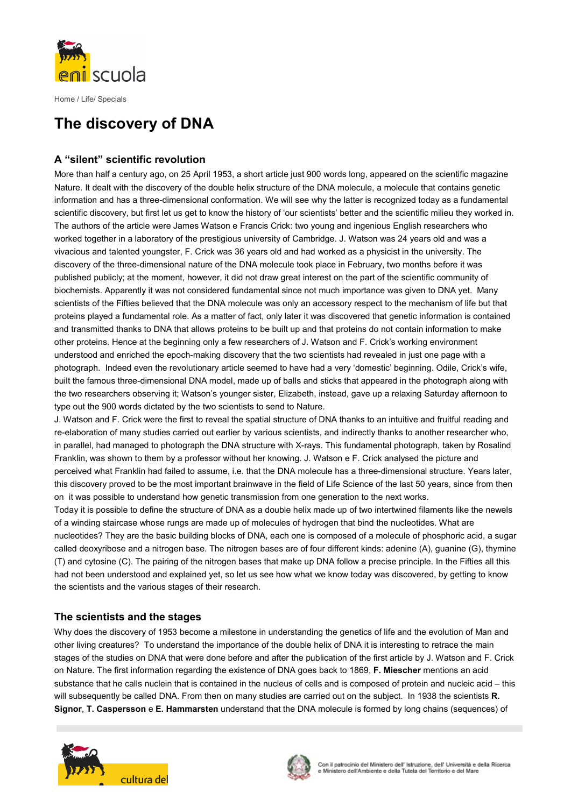

# The discovery of DNA

# A "silent" scientific revolution

More than half a century ago, on 25 April 1953, a short article just 900 words long, appeared on the scientific magazine Nature. It dealt with the discovery of the double helix structure of the DNA molecule, a molecule that contains genetic information and has a three-dimensional conformation. We will see why the latter is recognized today as a fundamental scientific discovery, but first let us get to know the history of 'our scientists' better and the scientific milieu they worked in. The authors of the article were James Watson e Francis Crick: two young and ingenious English researchers who worked together in a laboratory of the prestigious university of Cambridge. J. Watson was 24 years old and was a vivacious and talented youngster, F. Crick was 36 years old and had worked as a physicist in the university. The discovery of the three-dimensional nature of the DNA molecule took place in February, two months before it was published publicly; at the moment, however, it did not draw great interest on the part of the scientific community of biochemists. Apparently it was not considered fundamental since not much importance was given to DNA yet. Many scientists of the Fifties believed that the DNA molecule was only an accessory respect to the mechanism of life but that proteins played a fundamental role. As a matter of fact, only later it was discovered that genetic information is contained and transmitted thanks to DNA that allows proteins to be built up and that proteins do not contain information to make other proteins. Hence at the beginning only a few researchers of J. Watson and F. Crick's working environment understood and enriched the epoch-making discovery that the two scientists had revealed in just one page with a photograph. Indeed even the revolutionary article seemed to have had a very 'domestic' beginning. Odile, Crick's wife, built the famous three-dimensional DNA model, made up of balls and sticks that appeared in the photograph along with the two researchers observing it; Watson's younger sister, Elizabeth, instead, gave up a relaxing Saturday afternoon to type out the 900 words dictated by the two scientists to send to Nature.

J. Watson and F. Crick were the first to reveal the spatial structure of DNA thanks to an intuitive and fruitful reading and re-elaboration of many studies carried out earlier by various scientists, and indirectly thanks to another researcher who, in parallel, had managed to photograph the DNA structure with X-rays. This fundamental photograph, taken by Rosalind Franklin, was shown to them by a professor without her knowing. J. Watson e F. Crick analysed the picture and perceived what Franklin had failed to assume, i.e. that the DNA molecule has a three-dimensional structure. Years later, this discovery proved to be the most important brainwave in the field of Life Science of the last 50 years, since from then on it was possible to understand how genetic transmission from one generation to the next works.

Today it is possible to define the structure of DNA as a double helix made up of two intertwined filaments like the newels of a winding staircase whose rungs are made up of molecules of hydrogen that bind the nucleotides. What are nucleotides? They are the basic building blocks of DNA, each one is composed of a molecule of phosphoric acid, a sugar called deoxyribose and a nitrogen base. The nitrogen bases are of four different kinds: adenine (A), guanine (G), thymine (T) and cytosine (C). The pairing of the nitrogen bases that make up DNA follow a precise principle. In the Fifties all this had not been understood and explained yet, so let us see how what we know today was discovered, by getting to know the scientists and the various stages of their research.

# The scientists and the stages

Why does the discovery of 1953 become a milestone in understanding the genetics of life and the evolution of Man and other living creatures? To understand the importance of the double helix of DNA it is interesting to retrace the main stages of the studies on DNA that were done before and after the publication of the first article by J. Watson and F. Crick on Nature. The first information regarding the existence of DNA goes back to 1869, F. Miescher mentions an acid substance that he calls nuclein that is contained in the nucleus of cells and is composed of protein and nucleic acid – this will subsequently be called DNA. From then on many studies are carried out on the subject. In 1938 the scientists R. Signor, T. Caspersson e E. Hammarsten understand that the DNA molecule is formed by long chains (sequences) of



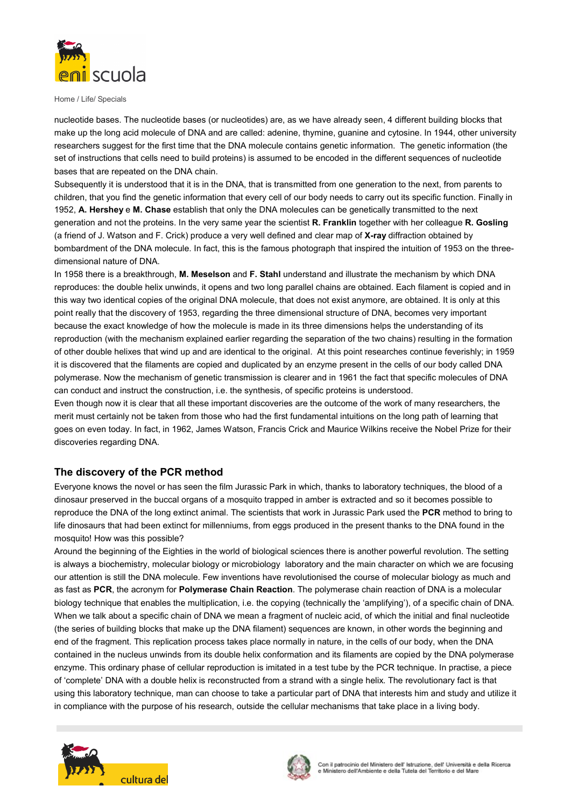

nucleotide bases. The nucleotide bases (or nucleotides) are, as we have already seen, 4 different building blocks that make up the long acid molecule of DNA and are called: adenine, thymine, guanine and cytosine. In 1944, other university researchers suggest for the first time that the DNA molecule contains genetic information. The genetic information (the set of instructions that cells need to build proteins) is assumed to be encoded in the different sequences of nucleotide bases that are repeated on the DNA chain.

Subsequently it is understood that it is in the DNA, that is transmitted from one generation to the next, from parents to children, that you find the genetic information that every cell of our body needs to carry out its specific function. Finally in 1952, A. Hershey e M. Chase establish that only the DNA molecules can be genetically transmitted to the next generation and not the proteins. In the very same year the scientist R. Franklin together with her colleague R. Gosling (a friend of J. Watson and F. Crick) produce a very well defined and clear map of X-ray diffraction obtained by bombardment of the DNA molecule. In fact, this is the famous photograph that inspired the intuition of 1953 on the threedimensional nature of DNA.

In 1958 there is a breakthrough, M. Meselson and F. Stahl understand and illustrate the mechanism by which DNA reproduces: the double helix unwinds, it opens and two long parallel chains are obtained. Each filament is copied and in this way two identical copies of the original DNA molecule, that does not exist anymore, are obtained. It is only at this point really that the discovery of 1953, regarding the three dimensional structure of DNA, becomes very important because the exact knowledge of how the molecule is made in its three dimensions helps the understanding of its reproduction (with the mechanism explained earlier regarding the separation of the two chains) resulting in the formation of other double helixes that wind up and are identical to the original. At this point researches continue feverishly; in 1959 it is discovered that the filaments are copied and duplicated by an enzyme present in the cells of our body called DNA polymerase. Now the mechanism of genetic transmission is clearer and in 1961 the fact that specific molecules of DNA can conduct and instruct the construction, i.e. the synthesis, of specific proteins is understood.

Even though now it is clear that all these important discoveries are the outcome of the work of many researchers, the merit must certainly not be taken from those who had the first fundamental intuitions on the long path of learning that goes on even today. In fact, in 1962, James Watson, Francis Crick and Maurice Wilkins receive the Nobel Prize for their discoveries regarding DNA.

## The discovery of the PCR method

Everyone knows the novel or has seen the film Jurassic Park in which, thanks to laboratory techniques, the blood of a dinosaur preserved in the buccal organs of a mosquito trapped in amber is extracted and so it becomes possible to reproduce the DNA of the long extinct animal. The scientists that work in Jurassic Park used the PCR method to bring to life dinosaurs that had been extinct for millenniums, from eggs produced in the present thanks to the DNA found in the mosquito! How was this possible?

Around the beginning of the Eighties in the world of biological sciences there is another powerful revolution. The setting is always a biochemistry, molecular biology or microbiology laboratory and the main character on which we are focusing our attention is still the DNA molecule. Few inventions have revolutionised the course of molecular biology as much and as fast as PCR, the acronym for Polymerase Chain Reaction. The polymerase chain reaction of DNA is a molecular biology technique that enables the multiplication, i.e. the copying (technically the 'amplifying'), of a specific chain of DNA. When we talk about a specific chain of DNA we mean a fragment of nucleic acid, of which the initial and final nucleotide (the series of building blocks that make up the DNA filament) sequences are known, in other words the beginning and end of the fragment. This replication process takes place normally in nature, in the cells of our body, when the DNA contained in the nucleus unwinds from its double helix conformation and its filaments are copied by the DNA polymerase enzyme. This ordinary phase of cellular reproduction is imitated in a test tube by the PCR technique. In practise, a piece of 'complete' DNA with a double helix is reconstructed from a strand with a single helix. The revolutionary fact is that using this laboratory technique, man can choose to take a particular part of DNA that interests him and study and utilize it in compliance with the purpose of his research, outside the cellular mechanisms that take place in a living body.



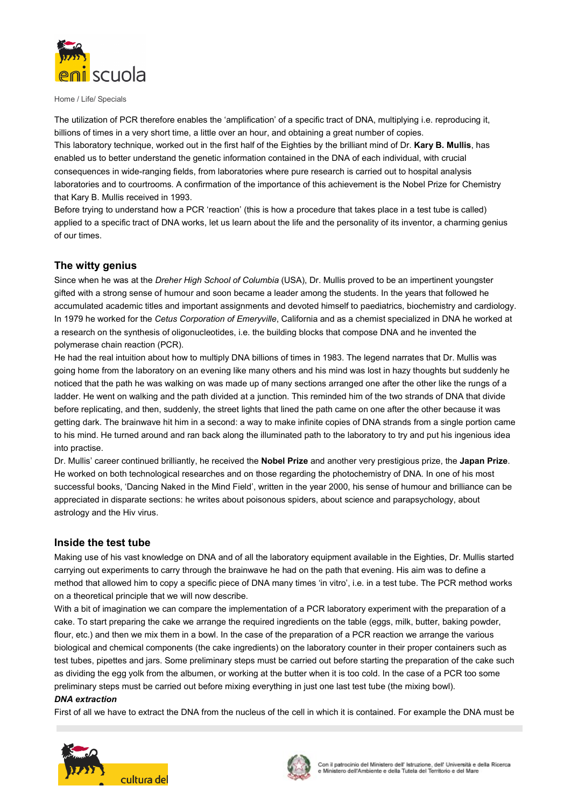

The utilization of PCR therefore enables the 'amplification' of a specific tract of DNA, multiplying i.e. reproducing it, billions of times in a very short time, a little over an hour, and obtaining a great number of copies. This laboratory technique, worked out in the first half of the Eighties by the brilliant mind of Dr. Kary B. Mullis, has enabled us to better understand the genetic information contained in the DNA of each individual, with crucial consequences in wide-ranging fields, from laboratories where pure research is carried out to hospital analysis laboratories and to courtrooms. A confirmation of the importance of this achievement is the Nobel Prize for Chemistry that Kary B. Mullis received in 1993.

Before trying to understand how a PCR 'reaction' (this is how a procedure that takes place in a test tube is called) applied to a specific tract of DNA works, let us learn about the life and the personality of its inventor, a charming genius of our times.

## The witty genius

Since when he was at the *Dreher High School of Columbia* (USA), Dr. Mullis proved to be an impertinent youngster gifted with a strong sense of humour and soon became a leader among the students. In the years that followed he accumulated academic titles and important assignments and devoted himself to paediatrics, biochemistry and cardiology. In 1979 he worked for the Cetus Corporation of Emeryville, California and as a chemist specialized in DNA he worked at a research on the synthesis of oligonucleotides, i.e. the building blocks that compose DNA and he invented the polymerase chain reaction (PCR).

He had the real intuition about how to multiply DNA billions of times in 1983. The legend narrates that Dr. Mullis was going home from the laboratory on an evening like many others and his mind was lost in hazy thoughts but suddenly he noticed that the path he was walking on was made up of many sections arranged one after the other like the rungs of a ladder. He went on walking and the path divided at a junction. This reminded him of the two strands of DNA that divide before replicating, and then, suddenly, the street lights that lined the path came on one after the other because it was getting dark. The brainwave hit him in a second: a way to make infinite copies of DNA strands from a single portion came to his mind. He turned around and ran back along the illuminated path to the laboratory to try and put his ingenious idea into practise.

Dr. Mullis' career continued brilliantly, he received the Nobel Prize and another very prestigious prize, the Japan Prize. He worked on both technological researches and on those regarding the photochemistry of DNA. In one of his most successful books, 'Dancing Naked in the Mind Field', written in the year 2000, his sense of humour and brilliance can be appreciated in disparate sections: he writes about poisonous spiders, about science and parapsychology, about astrology and the Hiv virus.

## Inside the test tube

Making use of his vast knowledge on DNA and of all the laboratory equipment available in the Eighties, Dr. Mullis started carrying out experiments to carry through the brainwave he had on the path that evening. His aim was to define a method that allowed him to copy a specific piece of DNA many times 'in vitro', i.e. in a test tube. The PCR method works on a theoretical principle that we will now describe.

With a bit of imagination we can compare the implementation of a PCR laboratory experiment with the preparation of a cake. To start preparing the cake we arrange the required ingredients on the table (eggs, milk, butter, baking powder, flour, etc.) and then we mix them in a bowl. In the case of the preparation of a PCR reaction we arrange the various biological and chemical components (the cake ingredients) on the laboratory counter in their proper containers such as test tubes, pipettes and jars. Some preliminary steps must be carried out before starting the preparation of the cake such as dividing the egg yolk from the albumen, or working at the butter when it is too cold. In the case of a PCR too some preliminary steps must be carried out before mixing everything in just one last test tube (the mixing bowl).

#### DNA extraction

First of all we have to extract the DNA from the nucleus of the cell in which it is contained. For example the DNA must be



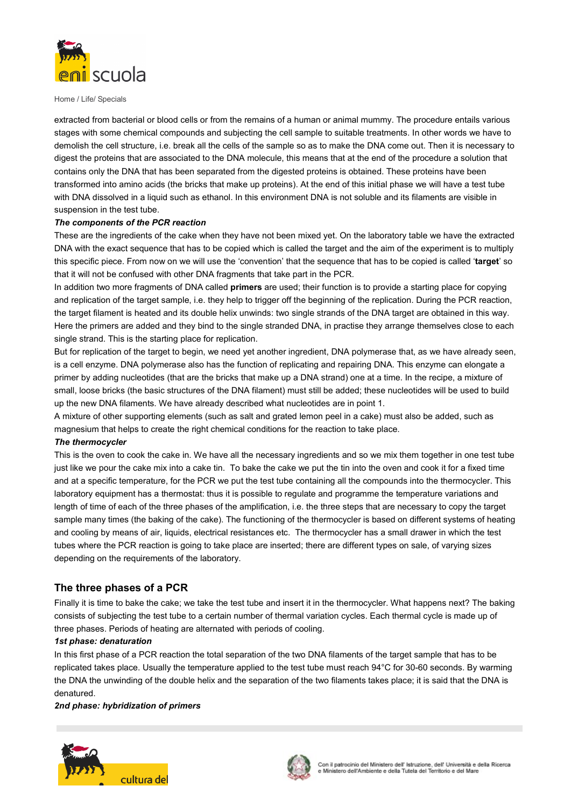

extracted from bacterial or blood cells or from the remains of a human or animal mummy. The procedure entails various stages with some chemical compounds and subjecting the cell sample to suitable treatments. In other words we have to demolish the cell structure, i.e. break all the cells of the sample so as to make the DNA come out. Then it is necessary to digest the proteins that are associated to the DNA molecule, this means that at the end of the procedure a solution that contains only the DNA that has been separated from the digested proteins is obtained. These proteins have been transformed into amino acids (the bricks that make up proteins). At the end of this initial phase we will have a test tube with DNA dissolved in a liquid such as ethanol. In this environment DNA is not soluble and its filaments are visible in suspension in the test tube.

#### The components of the PCR reaction

These are the ingredients of the cake when they have not been mixed yet. On the laboratory table we have the extracted DNA with the exact sequence that has to be copied which is called the target and the aim of the experiment is to multiply this specific piece. From now on we will use the 'convention' that the sequence that has to be copied is called 'target' so that it will not be confused with other DNA fragments that take part in the PCR.

In addition two more fragments of DNA called primers are used; their function is to provide a starting place for copying and replication of the target sample, i.e. they help to trigger off the beginning of the replication. During the PCR reaction, the target filament is heated and its double helix unwinds: two single strands of the DNA target are obtained in this way. Here the primers are added and they bind to the single stranded DNA, in practise they arrange themselves close to each single strand. This is the starting place for replication.

But for replication of the target to begin, we need yet another ingredient, DNA polymerase that, as we have already seen, is a cell enzyme. DNA polymerase also has the function of replicating and repairing DNA. This enzyme can elongate a primer by adding nucleotides (that are the bricks that make up a DNA strand) one at a time. In the recipe, a mixture of small, loose bricks (the basic structures of the DNA filament) must still be added; these nucleotides will be used to build up the new DNA filaments. We have already described what nucleotides are in point 1.

A mixture of other supporting elements (such as salt and grated lemon peel in a cake) must also be added, such as magnesium that helps to create the right chemical conditions for the reaction to take place.

#### The thermocycler

This is the oven to cook the cake in. We have all the necessary ingredients and so we mix them together in one test tube just like we pour the cake mix into a cake tin. To bake the cake we put the tin into the oven and cook it for a fixed time and at a specific temperature, for the PCR we put the test tube containing all the compounds into the thermocycler. This laboratory equipment has a thermostat: thus it is possible to regulate and programme the temperature variations and length of time of each of the three phases of the amplification, i.e. the three steps that are necessary to copy the target sample many times (the baking of the cake). The functioning of the thermocycler is based on different systems of heating and cooling by means of air, liquids, electrical resistances etc. The thermocycler has a small drawer in which the test tubes where the PCR reaction is going to take place are inserted; there are different types on sale, of varying sizes depending on the requirements of the laboratory.

## The three phases of a PCR

Finally it is time to bake the cake; we take the test tube and insert it in the thermocycler. What happens next? The baking consists of subjecting the test tube to a certain number of thermal variation cycles. Each thermal cycle is made up of three phases. Periods of heating are alternated with periods of cooling.

#### 1st phase: denaturation

In this first phase of a PCR reaction the total separation of the two DNA filaments of the target sample that has to be replicated takes place. Usually the temperature applied to the test tube must reach 94°C for 30-60 seconds. By warming the DNA the unwinding of the double helix and the separation of the two filaments takes place; it is said that the DNA is denatured.

#### 2nd phase: hybridization of primers



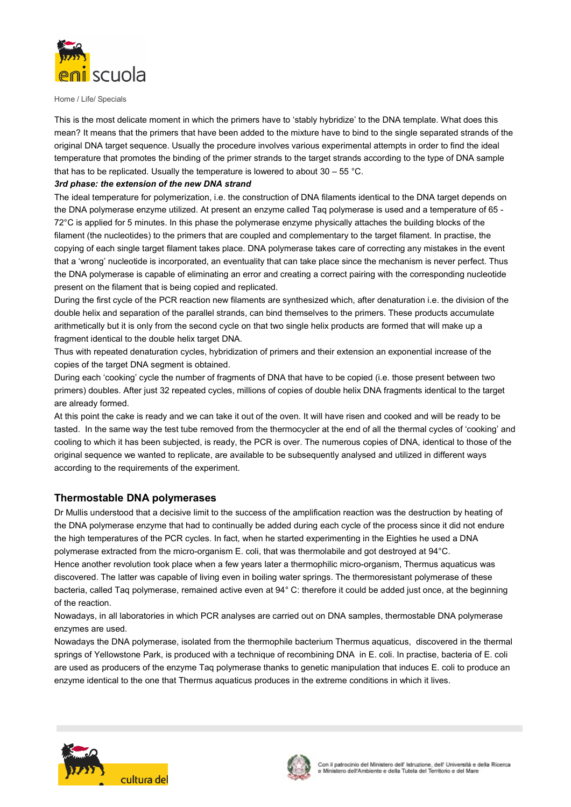

This is the most delicate moment in which the primers have to 'stably hybridize' to the DNA template. What does this mean? It means that the primers that have been added to the mixture have to bind to the single separated strands of the original DNA target sequence. Usually the procedure involves various experimental attempts in order to find the ideal temperature that promotes the binding of the primer strands to the target strands according to the type of DNA sample that has to be replicated. Usually the temperature is lowered to about  $30 - 55$  °C.

### 3rd phase: the extension of the new DNA strand

The ideal temperature for polymerization, i.e. the construction of DNA filaments identical to the DNA target depends on the DNA polymerase enzyme utilized. At present an enzyme called Taq polymerase is used and a temperature of 65 - 72°C is applied for 5 minutes. In this phase the polymerase enzyme physically attaches the building blocks of the filament (the nucleotides) to the primers that are coupled and complementary to the target filament. In practise, the copying of each single target filament takes place. DNA polymerase takes care of correcting any mistakes in the event that a 'wrong' nucleotide is incorporated, an eventuality that can take place since the mechanism is never perfect. Thus the DNA polymerase is capable of eliminating an error and creating a correct pairing with the corresponding nucleotide present on the filament that is being copied and replicated.

During the first cycle of the PCR reaction new filaments are synthesized which, after denaturation i.e. the division of the double helix and separation of the parallel strands, can bind themselves to the primers. These products accumulate arithmetically but it is only from the second cycle on that two single helix products are formed that will make up a fragment identical to the double helix target DNA.

Thus with repeated denaturation cycles, hybridization of primers and their extension an exponential increase of the copies of the target DNA segment is obtained.

During each 'cooking' cycle the number of fragments of DNA that have to be copied (i.e. those present between two primers) doubles. After just 32 repeated cycles, millions of copies of double helix DNA fragments identical to the target are already formed.

At this point the cake is ready and we can take it out of the oven. It will have risen and cooked and will be ready to be tasted. In the same way the test tube removed from the thermocycler at the end of all the thermal cycles of 'cooking' and cooling to which it has been subjected, is ready, the PCR is over. The numerous copies of DNA, identical to those of the original sequence we wanted to replicate, are available to be subsequently analysed and utilized in different ways according to the requirements of the experiment.

## Thermostable DNA polymerases

Dr Mullis understood that a decisive limit to the success of the amplification reaction was the destruction by heating of the DNA polymerase enzyme that had to continually be added during each cycle of the process since it did not endure the high temperatures of the PCR cycles. In fact, when he started experimenting in the Eighties he used a DNA polymerase extracted from the micro-organism E. coli, that was thermolabile and got destroyed at 94°C. Hence another revolution took place when a few years later a thermophilic micro-organism, Thermus aquaticus was

discovered. The latter was capable of living even in boiling water springs. The thermoresistant polymerase of these bacteria, called Taq polymerase, remained active even at 94° C: therefore it could be added just once, at the beginning of the reaction.

Nowadays, in all laboratories in which PCR analyses are carried out on DNA samples, thermostable DNA polymerase enzymes are used.

Nowadays the DNA polymerase, isolated from the thermophile bacterium Thermus aquaticus, discovered in the thermal springs of Yellowstone Park, is produced with a technique of recombining DNA in E. coli. In practise, bacteria of E. coli are used as producers of the enzyme Taq polymerase thanks to genetic manipulation that induces E. coli to produce an enzyme identical to the one that Thermus aquaticus produces in the extreme conditions in which it lives.



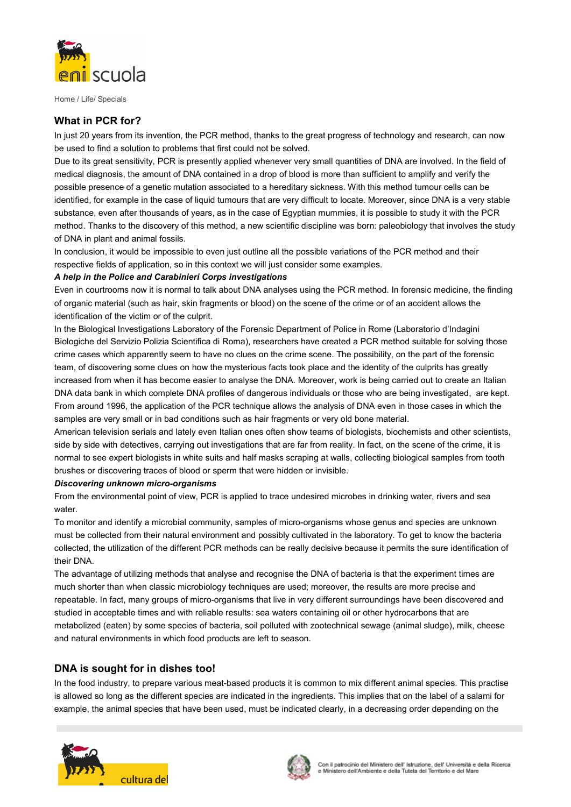

# What in PCR for?

In just 20 years from its invention, the PCR method, thanks to the great progress of technology and research, can now be used to find a solution to problems that first could not be solved.

Due to its great sensitivity, PCR is presently applied whenever very small quantities of DNA are involved. In the field of medical diagnosis, the amount of DNA contained in a drop of blood is more than sufficient to amplify and verify the possible presence of a genetic mutation associated to a hereditary sickness. With this method tumour cells can be identified, for example in the case of liquid tumours that are very difficult to locate. Moreover, since DNA is a very stable substance, even after thousands of years, as in the case of Egyptian mummies, it is possible to study it with the PCR method. Thanks to the discovery of this method, a new scientific discipline was born: paleobiology that involves the study of DNA in plant and animal fossils.

In conclusion, it would be impossible to even just outline all the possible variations of the PCR method and their respective fields of application, so in this context we will just consider some examples.

### A help in the Police and Carabinieri Corps investigations

Even in courtrooms now it is normal to talk about DNA analyses using the PCR method. In forensic medicine, the finding of organic material (such as hair, skin fragments or blood) on the scene of the crime or of an accident allows the identification of the victim or of the culprit.

In the Biological Investigations Laboratory of the Forensic Department of Police in Rome (Laboratorio d'Indagini Biologiche del Servizio Polizia Scientifica di Roma), researchers have created a PCR method suitable for solving those crime cases which apparently seem to have no clues on the crime scene. The possibility, on the part of the forensic team, of discovering some clues on how the mysterious facts took place and the identity of the culprits has greatly increased from when it has become easier to analyse the DNA. Moreover, work is being carried out to create an Italian DNA data bank in which complete DNA profiles of dangerous individuals or those who are being investigated, are kept. From around 1996, the application of the PCR technique allows the analysis of DNA even in those cases in which the samples are very small or in bad conditions such as hair fragments or very old bone material.

American television serials and lately even Italian ones often show teams of biologists, biochemists and other scientists, side by side with detectives, carrying out investigations that are far from reality. In fact, on the scene of the crime, it is normal to see expert biologists in white suits and half masks scraping at walls, collecting biological samples from tooth brushes or discovering traces of blood or sperm that were hidden or invisible.

#### Discovering unknown micro-organisms

From the environmental point of view, PCR is applied to trace undesired microbes in drinking water, rivers and sea water

To monitor and identify a microbial community, samples of micro-organisms whose genus and species are unknown must be collected from their natural environment and possibly cultivated in the laboratory. To get to know the bacteria collected, the utilization of the different PCR methods can be really decisive because it permits the sure identification of their DNA.

The advantage of utilizing methods that analyse and recognise the DNA of bacteria is that the experiment times are much shorter than when classic microbiology techniques are used; moreover, the results are more precise and repeatable. In fact, many groups of micro-organisms that live in very different surroundings have been discovered and studied in acceptable times and with reliable results: sea waters containing oil or other hydrocarbons that are metabolized (eaten) by some species of bacteria, soil polluted with zootechnical sewage (animal sludge), milk, cheese and natural environments in which food products are left to season.

## DNA is sought for in dishes too!

In the food industry, to prepare various meat-based products it is common to mix different animal species. This practise is allowed so long as the different species are indicated in the ingredients. This implies that on the label of a salami for example, the animal species that have been used, must be indicated clearly, in a decreasing order depending on the